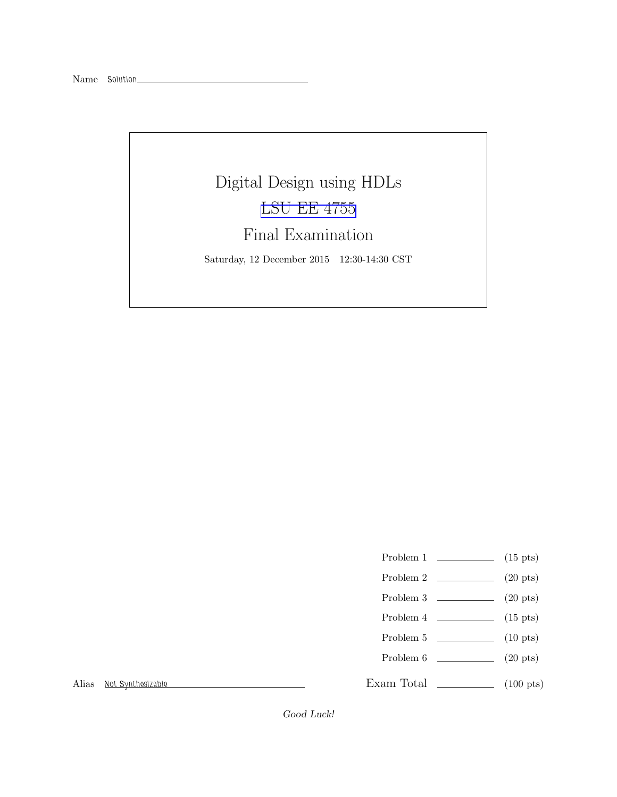# Digital Design using HDLs [LSU EE 4755](http://www.ece.lsu.edu/koppel/v/) Final Examination Saturday, 12 December 2015 12:30-14:30 CST

- Problem 1  $\qquad \qquad$  (15 pts)
- Problem 2 (20 pts)
- Problem  $3 \t\t(20 \text{ pts})$
- Problem  $4 \t\t(15 \text{ pts})$
- Problem 5  $\qquad \qquad$  (10 pts)
- Problem 6 (20 pts)

Exam Total \_\_\_\_\_\_\_\_\_\_\_\_\_\_ (100 pts)

Alias Not Synthesizable

Good Luck!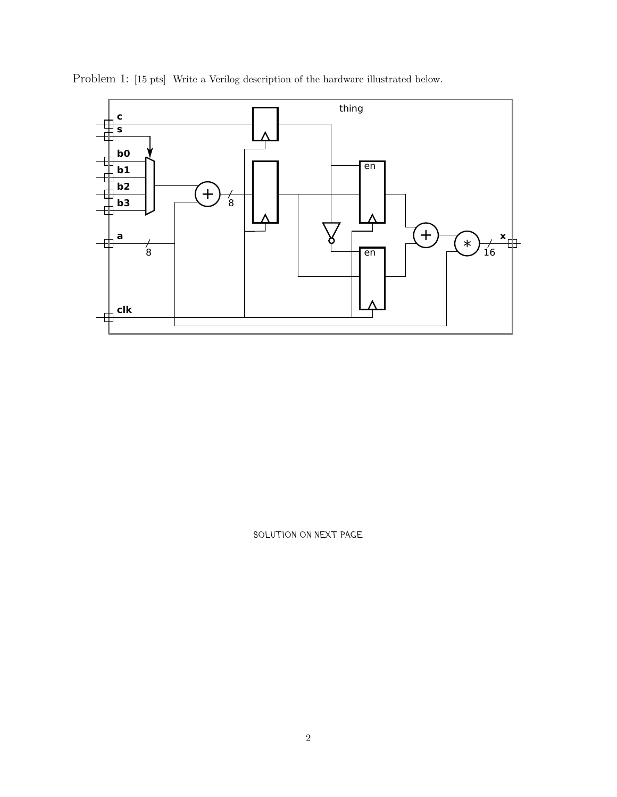

Problem 1: [15 pts] Write a Verilog description of the hardware illustrated below.

SOLUTION ON NEXT PAGE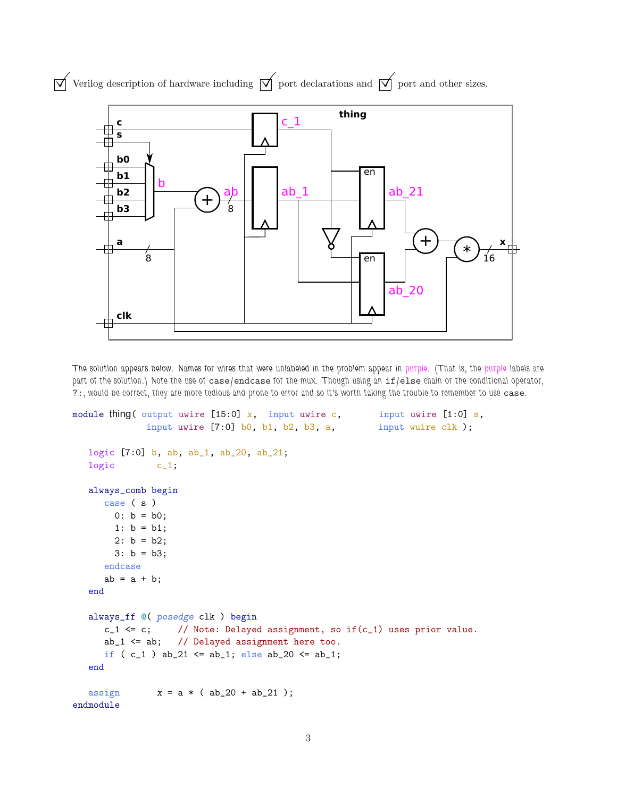

 $\overrightarrow{\mathcal{V}}$  Verilog description of hardware including  $\overrightarrow{\mathcal{V}}$  port declarations and  $\overrightarrow{\mathcal{V}}$  port and other sizes.

**clk**

The solution appears below. Names for wires that were unlabeled in the problem appear in purple. (That is, the purple labels are part of the solution.) Note the use of case/endcase for the mux. Though using an if/else chain or the conditional operator, ?:, would be correct, they are more tedious and prone to error and so it's worth taking the trouble to remember to use case.

```
module thing( output uwire [15:0] x, input uwire c, input uwire [1:0] s,
             input uwire [7:0] b0, b1, b2, b3, a, input wuire clk );
  logic [7:0] b, ab, ab_1, ab_20, ab_21;
  logic c_1;
  always_comb begin
     case ( s )
       0: b = b0;1: b = b1;
       2: b = b2;
       3: b = b3;
     endcase
     ab = a + b;
  end
  always_ff @( posedge clk ) begin
     c_1 \leq c; // Note: Delayed assignment, so if(c_1) uses prior value.
     ab_1 <= ab; // Delayed assignment here too.
     if ( c_1 ) ab_21 <= ab_1; else ab_20 <= ab_1;
  end
  assign x = a * (ab_20 + ab_21);
endmodule
```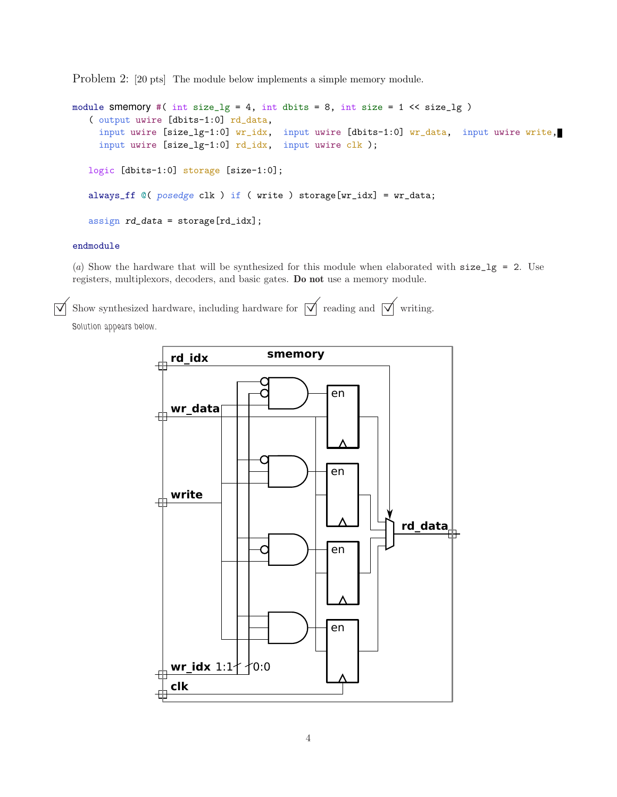Problem 2: [20 pts] The module below implements a simple memory module.

```
module smemory #( int size_lg = 4, int dbits = 8, int size = 1 << size_lg )
   ( output uwire [dbits-1:0] rd_data,
     input uwire [size_lg-1:0] wr_idx, input uwire [dbits-1:0] wr_data, input uwire write,
     input uwire [size_lg-1:0] rd_idx, input uwire clk );
   logic [dbits-1:0] storage [size-1:0];
   always_ff @( posedge clk ) if ( write ) storage[wr_idx] = wr_data;
   assign rd_data = storage[rd_idx];
```
#### endmodule

(a) Show the hardware that will be synthesized for this module when elaborated with  $size\_lg = 2$ . Use registers, multiplexors, decoders, and basic gates. Do not use a memory module.

Show synthesized hardware, including hardware for  $\forall$  reading and  $\forall$  writing.

Solution appears below.

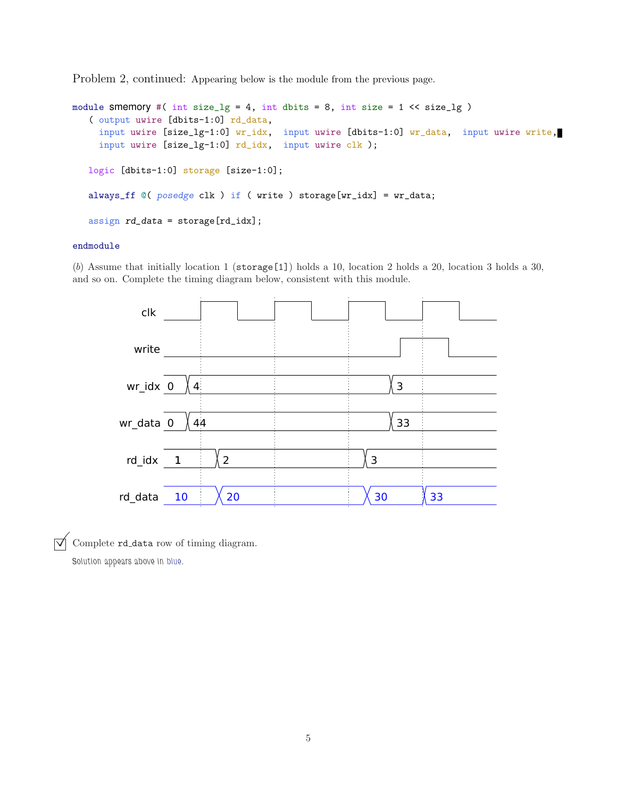Problem 2, continued: Appearing below is the module from the previous page.

```
module smemory #( int size_lg = 4, int dbits = 8, int size = 1 << size_lg )
   ( output uwire [dbits-1:0] rd_data,
     input uwire [size_lg-1:0] wr_idx, input uwire [dbits-1:0] wr_data, input uwire write,
     input uwire [size_lg-1:0] rd_idx, input uwire clk );
   logic [dbits-1:0] storage [size-1:0];
   always_ff @( posedge clk ) if ( write ) storage[wr_idx] = wr_data;
   assign rd_data = storage[rd_idx];
```
### endmodule

(b) Assume that initially location 1 ( $\frac{\epsilon}{1}$ ) holds a 10, location 2 holds a 20, location 3 holds a 30, and so on. Complete the timing diagram below, consistent with this module.



 $\overrightarrow{\bigvee}$  Complete rd\_data row of timing diagram.

Solution appears above in blue.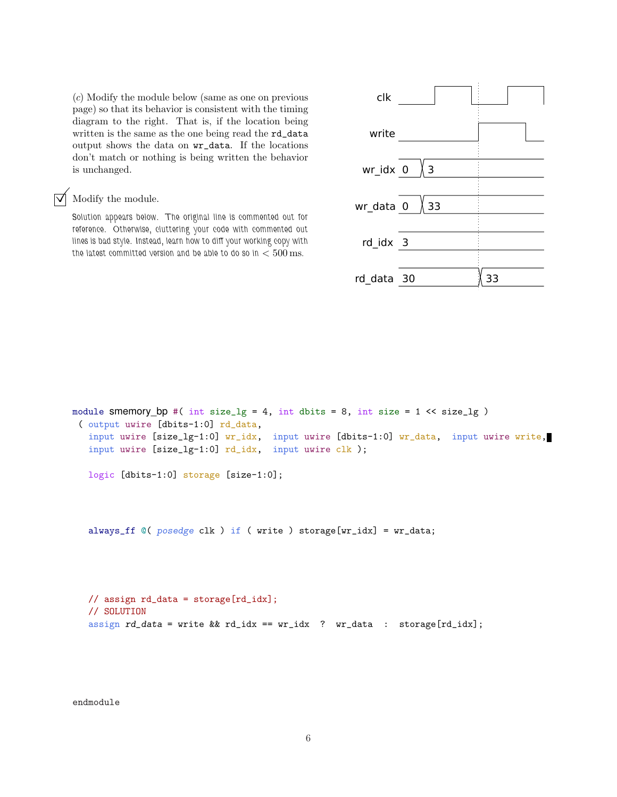(c) Modify the module below (same as one on previous page) so that its behavior is consistent with the timing diagram to the right. That is, if the location being written is the same as the one being read the rd\_data output shows the data on wr\_data. If the locations don't match or nothing is being written the behavior is unchanged.

# Modify the module.

Solution appears below. The original line is commented out for reference. Otherwise, cluttering your code with commented out lines is bad style. Instead, learn how to diff your working copy with the latest committed version and be able to do so in  $< 500 \,\mathrm{ms}$ .



```
module smemory bp #( int size_lg = 4, int dbits = 8, int size = 1 << size_lg )
( output uwire [dbits-1:0] rd_data,
  input uwire [size_lg-1:0] wr_idx, input uwire [dbits-1:0] wr_data, input uwire write,
  input uwire [size_lg-1:0] rd_idx, input uwire clk );
  logic [dbits-1:0] storage [size-1:0];
```
always\_ff  $@($  posedge clk  $)$  if ( write ) storage[wr\_idx] = wr\_data;

```
// assign rd_data = storage[rd_idx];
// SOLUTION
assign rd\_data = write && rd\_idx == wr\_idx ? wr\_data : storage[rd\_idx];
```
endmodule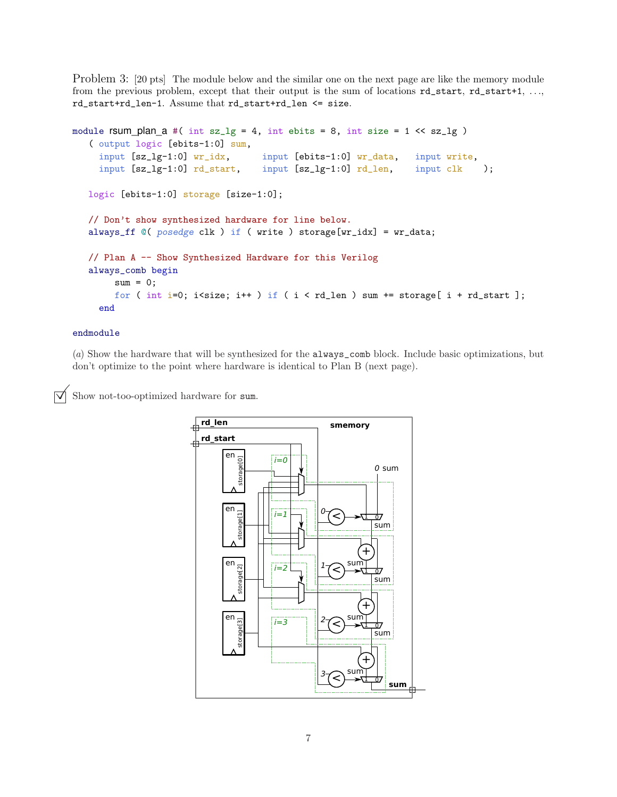Problem 3: [20 pts] The module below and the similar one on the next page are like the memory module from the previous problem, except that their output is the sum of locations  $rd\_start$ ,  $rd\_start+1$ , ... rd\_start+rd\_len-1. Assume that rd\_start+rd\_len <= size.

```
module rsum_plan_a #( int sz_lg = 4, int ebits = 8, int size = 1 \ll sz_lg )
   ( output logic [ebits-1:0] sum,
    input [sz_lg-1:0] wr_idx, input [ebits-1:0] wr_data, input write,
    input [sz_lg-1:0] rd_start, input [sz_lg-1:0] rd_len, input clk );
  logic [ebits-1:0] storage [size-1:0];
  // Don't show synthesized hardware for line below.
  always_ff @( posedge clk ) if ( write ) storage[wr_idx] = wr_data;
  // Plan A -- Show Synthesized Hardware for this Verilog
  always_comb begin
       sum = 0;
       for ( int i=0; i<size; i++ ) if ( i < rd len ) sum += storage[ i + rd start ];
    end
```
## endmodule

(a) Show the hardware that will be synthesized for the always\_comb block. Include basic optimizations, but don't optimize to the point where hardware is identical to Plan B (next page).

Show not-too-optimized hardware for sum.

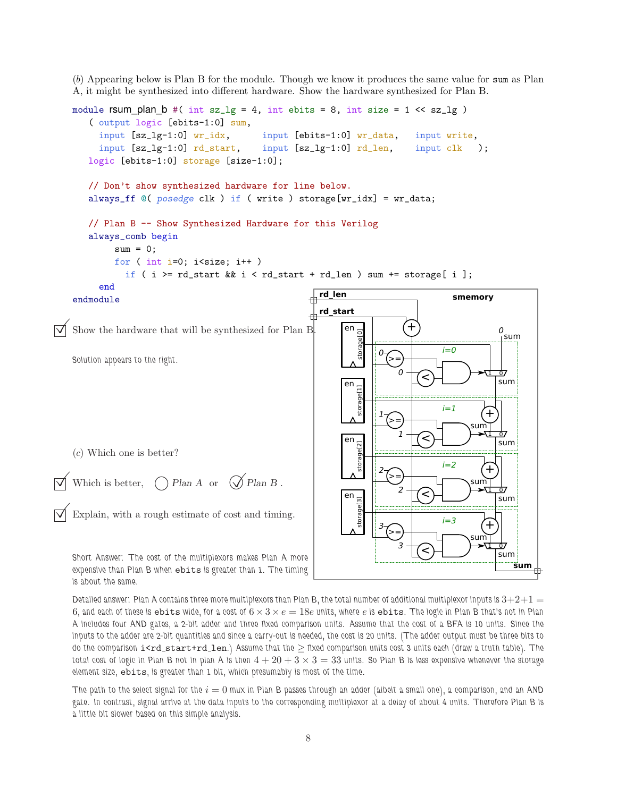(b) Appearing below is Plan B for the module. Though we know it produces the same value for sum as Plan A, it might be synthesized into different hardware. Show the hardware synthesized for Plan B.

```
module rsum_plan_b #( int sz_lg = 4, int ebits = 8, int size = 1 \lt \text{sz}_lg )
    ( output logic [ebits-1:0] sum,
      input [sz_lg-1:0] wr_idx, input [ebits-1:0] wr_data, input write,
      input [sz_lg-1:0] rd\_start, input [sz_lg-1:0] rd\_len, input clk);
   logic [ebits-1:0] storage [size-1:0];
   // Don't show synthesized hardware for line below.
   always_ff @( posedge clk ) if ( write ) storage[wr_idx] = wr_data;
   // Plan B -- Show Synthesized Hardware for this Verilog
   always_comb begin
         sum = 0;
         for ( int i=0; i < size; i++ )
            if ( i >= rd_start && i < rd_start + rd_len ) sum += storage[ i ];
      end
endmodule
Show the hardware that will be synthesized for Plan B. \blacksquare en
                                                               en
                                                               en
                                                               en
                                                                                        smemory
                                                                                                1 0
                                                                           0 \rightarrow \infty \rightarrow \text{triv}+\Omegard_start
                                                         rd_len
                                                                                                      sum
                                                                                 \leqsum
                                                                                                  sum
                                                                                                  sum
                                                                                             sum
                                                                                     i=1i=0i=2storage[0] storage[1] storage[2] storage[3]
                                                                             +0
                                                                        >=
                                                                           ^{1} \top(<
                                                                       1
                                                                         >=
                                                                                                1 0
                                                                                                +
                                                                                                  sum
                                                                           ^{2} \uparrow \curvearrowright2
                                                                         >=
                                                                                                1 0
                                                                                                +
                                                                                                  sum
                                                                           3 † (2
                                                                       3
                                                                         >=i=3sum
                                                                                             sum
Solution appears to the right.
(c) Which one is better?
Which is better, \bigcap Plan A or \bigotimes Plan B.
Explain, with a rough estimate of cost and timing.
Short Answer: The cost of the multiplexors makes Plan A more
expensive than Plan B when ebits is greater than 1. The timing
is about the same.
```
Detailed answer: Plan A contains three more multiplexors than Plan B, the total number of additional multiplexor inputs is  $3+2+1=$ 6, and each of these is ebits wide, for a cost of  $6 \times 3 \times e = 18e$  units, where e is ebits. The logic in Plan B that's not in Plan A includes four AND gates, a 2-bit adder and three fixed comparison units. Assume that the cost of a BFA is 10 units. Since the inputs to the adder are 2-bit quantities and since a carry-out is needed, the cost is 20 units. (The adder output must be three bits to do the comparison i<rd\_start+rd\_len.) Assume that the ≥ fixed comparison units cost 3 units each (draw a truth table). The total cost of logic in Plan B not in plan A is then  $4+20+3\times3=33$  units. So Plan B is less expensive whenever the storage element size, ebits, is greater than 1 bit, which presumably is most of the time.

The path to the select signal for the  $i = 0$  mux in Plan B passes through an adder (albeit a small one), a comparison, and an AND gate. In contrast, signal arrive at the data inputs to the corresponding multiplexor at a delay of about 4 units. Therefore Plan B is a little bit slower based on this simple analysis.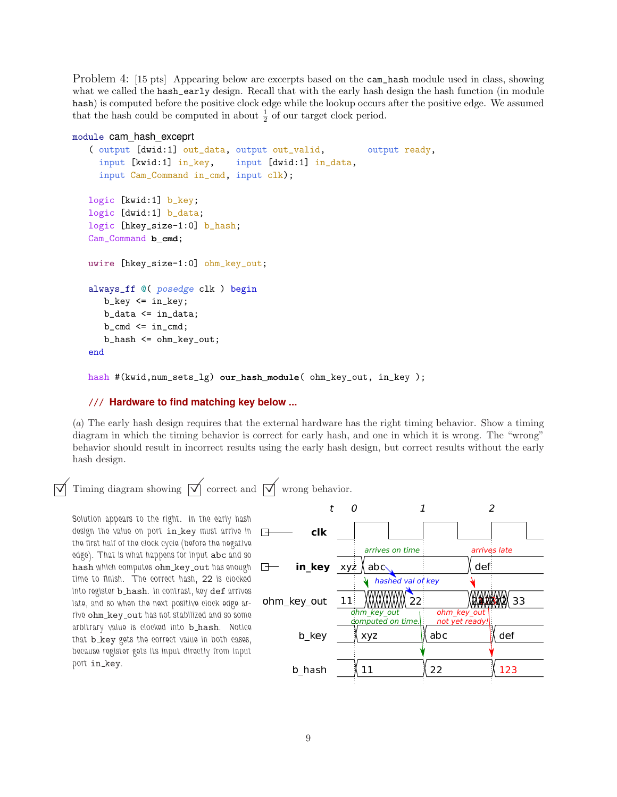Problem 4: [15 pts] Appearing below are excerpts based on the cam\_hash module used in class, showing what we called the hash\_early design. Recall that with the early hash design the hash function (in module hash) is computed before the positive clock edge while the lookup occurs after the positive edge. We assumed that the hash could be computed in about  $\frac{1}{2}$  of our target clock period.

#### module cam\_hash\_exceprt

```
( output [dwid:1] out_data, output out_valid, output ready,
  input [kwid:1] in_key, input [dwid:1] in_data,
  input Cam_Command in_cmd, input clk);
logic [kwid:1] b_key;
logic [dwid:1] b_data;
logic [hkey_size-1:0] b_hash;
Cam_Command b_cmd;
uwire [hkey_size-1:0] ohm_key_out;
always_ff @( posedge clk ) begin
   b_{key} \leq in_{key};b_data <= in_data;
   b_{\text{-}}cmd \leq in_cmd;
   b_hash <= ohm_key_out;
end
```
hash #(kwid,num\_sets\_lg) **our\_hash\_module**( ohm\_key\_out, in\_key );

# /// **Hardware to find matching key below ...**

(a) The early hash design requires that the external hardware has the right timing behavior. Show a timing diagram in which the timing behavior is correct for early hash, and one in which it is wrong. The "wrong" behavior should result in incorrect results using the early hash design, but correct results without the early hash design.

Timing diagram showing  $\boxed{\vee}$  correct and  $\boxed{\vee}$  wrong behavior.

Solution appears to the right. In the early hash design the value on port in\_key must arrive in the first half of the clock cycle (before the negative edge). That is what happens for input abc and so hash which computes ohm\_key\_out has enough time to finish. The correct hash, 22 is clocked into register **b\_hash**. In contrast, key def arrives late, and so when the next positive clock edge arrive ohm\_key\_out has not stabilized and so some arbitrary value is clocked into **b\_hash**. Notice that **b\_key** gets the correct value in both cases because register gets its input directly from input port in key.

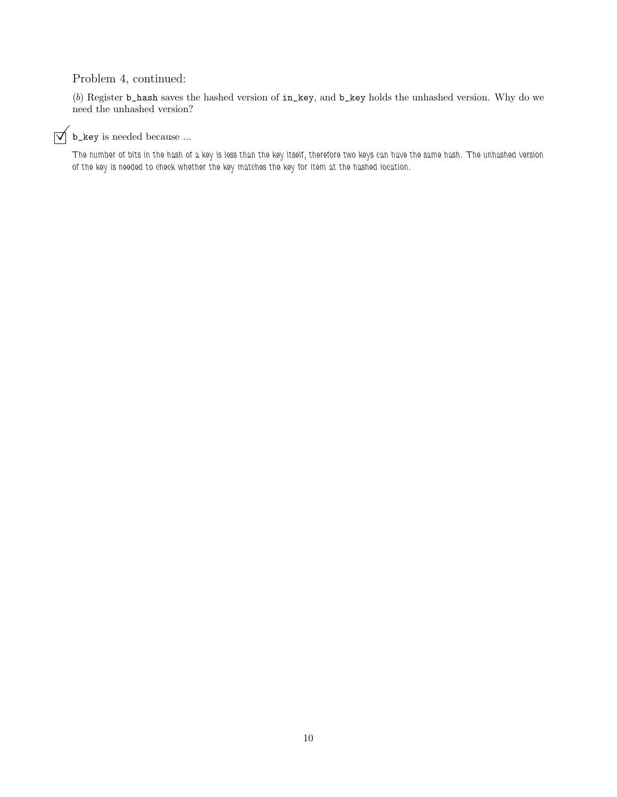# Problem 4, continued:

(b) Register b\_hash saves the hashed version of in\_key, and b\_key holds the unhashed version. Why do we need the unhashed version?

# $\overrightarrow{v}$  b\_key is needed because ...

The number of bits in the hash of a key is less than the key itself, therefore two keys can have the same hash. The unhashed version of the key is needed to check whether the key matches the key for item at the hashed location.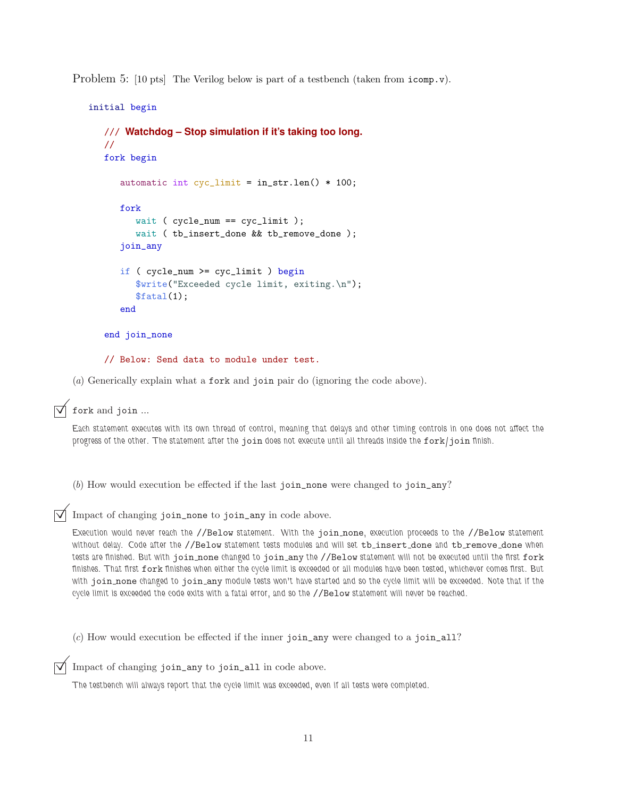Problem 5: [10 pts] The Verilog below is part of a testbench (taken from icomp.v).

```
initial begin
   /// Watchdog – Stop simulation if it's taking too long.
   //
   fork begin
      automatic int cyc_limit = in_str.len() * 100;
      fork
         wait ( cycle_num == cyc_limit );
         wait ( tb_insert_done && tb_remove_done );
      join_any
      if ( cycle_num >= cyc_limit ) begin
         $write("Exceeded cycle limit, exiting.\n");
         $ \text{fatal}(1);
      end
   end join_none
```
// Below: Send data to module under test.

(a) Generically explain what a fork and join pair do (ignoring the code above).

fork and join ...

Each statement executes with its own thread of control, meaning that delays and other timing controls in one does not affect the progress of the other. The statement after the join does not execute until all threads inside the fork/join finish.

(b) How would execution be effected if the last join\_none were changed to join\_any?

Impact of changing join\_none to join\_any in code above.

Execution would never reach the //Below statement. With the join none, execution proceeds to the //Below statement without delay. Code after the //Below statement tests modules and will set tb\_insert\_done and tb\_remove\_done when tests are finished. But with join none changed to join any the //Below statement will not be executed until the first fork finishes. That first fork finishes when either the cycle limit is exceeded or all modules have been tested, whichever comes first. But with join none changed to join any module tests won't have started and so the cycle limit will be exceeded. Note that if the cycle limit is exceeded the code exits with a fatal error, and so the //Below statement will never be reached.

 $(c)$  How would execution be effected if the inner join\_any were changed to a join\_all?

Impact of changing join\_any to join\_all in code above.

The testbench will always report that the cycle limit was exceeded, even if all tests were completed.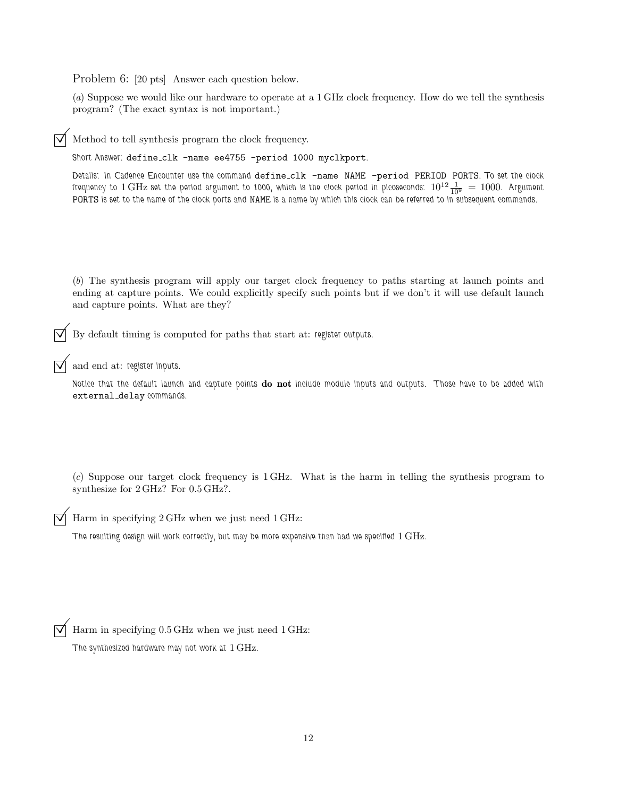Problem 6: [20 pts] Answer each question below.

(a) Suppose we would like our hardware to operate at a 1 GHz clock frequency. How do we tell the synthesis program? (The exact syntax is not important.)

Method to tell synthesis program the clock frequency.

Short Answer: define\_clk -name ee4755 -period 1000 myclkport.

Details: In Cadence Encounter use the command define\_clk -name NAME -period PERIOD PORTS. To set the clock frequency to  $1\,\rm GHz$  set the period argument to 1000, which is the clock period in picoseconds:  $10^{12}\frac{1}{10^9} = 1000$ . Argument PORTS is set to the name of the clock ports and NAME is a name by which this clock can be referred to in subsequent commands.

(b) The synthesis program will apply our target clock frequency to paths starting at launch points and ending at capture points. We could explicitly specify such points but if we don't it will use default launch and capture points. What are they?

 $\overrightarrow{\mathcal{A}}$  By default timing is computed for paths that start at: register outputs.

and end at: register inputs.

Notice that the default launch and capture points do not include module inputs and outputs. Those have to be added with external\_delay commands.

(c) Suppose our target clock frequency is 1 GHz. What is the harm in telling the synthesis program to synthesize for 2 GHz? For 0.5 GHz?.

Harm in specifying 2 GHz when we just need 1 GHz:

The resulting design will work correctly, but may be more expensive than had we specified 1 GHz.

 $\boxed{\bigvee}$  Harm in specifying 0.5 GHz when we just need 1 GHz:

The synthesized hardware may not work at 1 GHz.